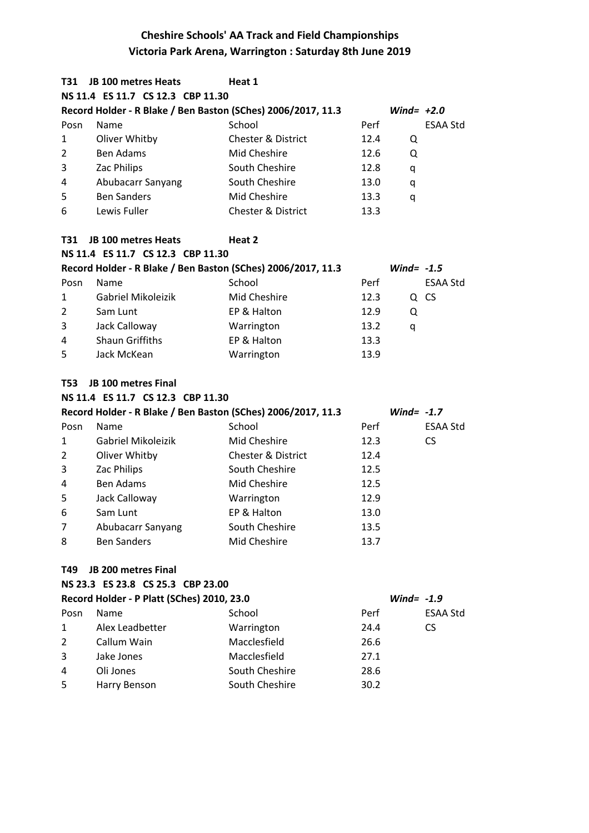| T31            | <b>JB 100 metres Heats</b>                 | Heat 1                                                       |      |              |                 |
|----------------|--------------------------------------------|--------------------------------------------------------------|------|--------------|-----------------|
|                | NS 11.4 ES 11.7 CS 12.3 CBP 11.30          |                                                              |      |              |                 |
|                |                                            | Record Holder - R Blake / Ben Baston (SChes) 2006/2017, 11.3 |      | Wind= $+2.0$ |                 |
| Posn           | Name                                       | School                                                       | Perf |              | <b>ESAA Std</b> |
| $\mathbf{1}$   | Oliver Whitby                              | <b>Chester &amp; District</b>                                | 12.4 | Q            |                 |
| $\overline{2}$ | <b>Ben Adams</b>                           | Mid Cheshire                                                 | 12.6 | Q            |                 |
| 3              | Zac Philips                                | South Cheshire                                               | 12.8 | q            |                 |
| 4              | Abubacarr Sanyang                          | South Cheshire                                               | 13.0 | q            |                 |
| 5              | <b>Ben Sanders</b>                         | Mid Cheshire                                                 | 13.3 | q            |                 |
| 6              | Lewis Fuller                               | <b>Chester &amp; District</b>                                | 13.3 |              |                 |
| T31.           | JB 100 metres Heats                        | Heat 2                                                       |      |              |                 |
|                | NS 11.4 ES 11.7 CS 12.3 CBP 11.30          |                                                              |      |              |                 |
|                |                                            | Record Holder - R Blake / Ben Baston (SChes) 2006/2017, 11.3 |      | Wind= $-1.5$ |                 |
| Posn           | Name                                       | School                                                       | Perf |              | <b>ESAA Std</b> |
| 1              | Gabriel Mikoleizik                         | Mid Cheshire                                                 | 12.3 |              | Q CS            |
| $\overline{2}$ | Sam Lunt                                   | EP & Halton                                                  | 12.9 | Q            |                 |
| 3              | Jack Calloway                              | Warrington                                                   | 13.2 | q            |                 |
| 4              | <b>Shaun Griffiths</b>                     | EP & Halton                                                  | 13.3 |              |                 |
| 5              | Jack McKean                                | Warrington                                                   | 13.9 |              |                 |
| T53            | JB 100 metres Final                        |                                                              |      |              |                 |
|                | NS 11.4 ES 11.7 CS 12.3 CBP 11.30          |                                                              |      |              |                 |
|                |                                            | Record Holder - R Blake / Ben Baston (SChes) 2006/2017, 11.3 |      | Wind= $-1.7$ |                 |
| Posn           | Name                                       | School                                                       | Perf |              | <b>ESAA Std</b> |
| 1              | Gabriel Mikoleizik                         | Mid Cheshire                                                 | 12.3 |              | <b>CS</b>       |
| $\overline{2}$ | Oliver Whitby                              | <b>Chester &amp; District</b>                                | 12.4 |              |                 |
| 3              | Zac Philips                                | South Cheshire                                               | 12.5 |              |                 |
| 4              | <b>Ben Adams</b>                           | Mid Cheshire                                                 | 12.5 |              |                 |
| 5              | Jack Calloway                              | Warrington                                                   | 12.9 |              |                 |
| 6              | Sam Lunt                                   | EP & Halton                                                  | 13.0 |              |                 |
| 7              | Abubacarr Sanyang                          | South Cheshire                                               | 13.5 |              |                 |
| 8              | <b>Ben Sanders</b>                         | Mid Cheshire                                                 | 13.7 |              |                 |
| T49            | <b>JB 200 metres Final</b>                 |                                                              |      |              |                 |
|                | NS 23.3 ES 23.8 CS 25.3 CBP 23.00          |                                                              |      |              |                 |
|                | Record Holder - P Platt (SChes) 2010, 23.0 |                                                              |      | Wind= $-1.9$ |                 |
| Posn           | Name                                       | School                                                       | Perf |              | <b>ESAA Std</b> |
| 1              | Alex Leadbetter                            | Warrington                                                   | 24.4 |              | <b>CS</b>       |
| 2              | Callum Wain                                | Macclesfield                                                 | 26.6 |              |                 |
| 3              | Jake Jones                                 | Macclesfield                                                 | 27.1 |              |                 |
| 4              | Oli Jones                                  | South Cheshire                                               | 28.6 |              |                 |
| 5              | Harry Benson                               | South Cheshire                                               | 30.2 |              |                 |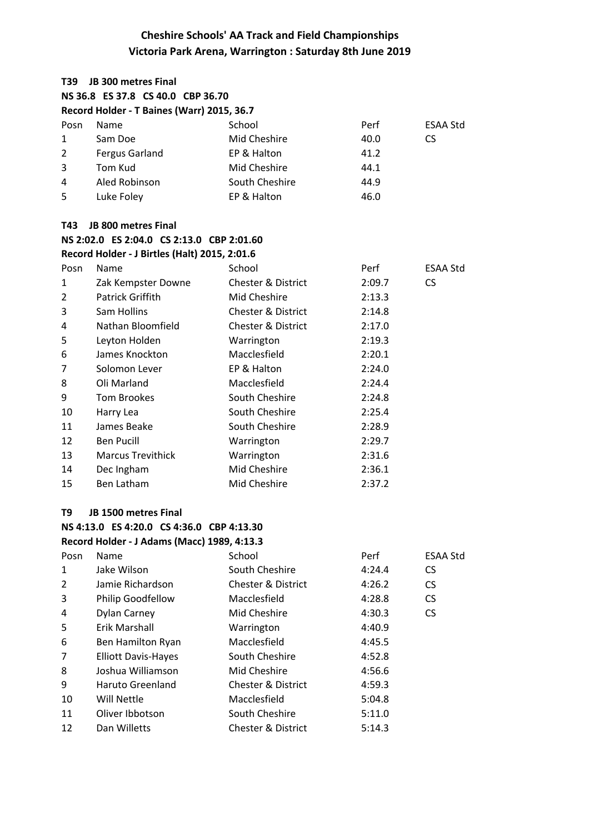| T39            | <b>JB 300 metres Final</b>                                                               |                               |        |                 |
|----------------|------------------------------------------------------------------------------------------|-------------------------------|--------|-----------------|
|                | NS 36.8 ES 37.8 CS 40.0 CBP 36.70                                                        |                               |        |                 |
|                | Record Holder - T Baines (Warr) 2015, 36.7                                               |                               |        |                 |
| Posn           | Name                                                                                     | School                        | Perf   | <b>ESAA Std</b> |
| 1              | Sam Doe                                                                                  | Mid Cheshire                  | 40.0   | <b>CS</b>       |
| $\overline{2}$ | Fergus Garland                                                                           | EP & Halton                   | 41.2   |                 |
| 3              | Tom Kud                                                                                  | Mid Cheshire                  | 44.1   |                 |
| 4              | Aled Robinson                                                                            | South Cheshire                | 44.9   |                 |
| 5              | Luke Foley                                                                               | EP & Halton                   | 46.0   |                 |
| T43            | <b>JB 800 metres Final</b>                                                               |                               |        |                 |
|                | NS 2:02.0 ES 2:04.0 CS 2:13.0 CBP 2:01.60                                                |                               |        |                 |
|                | <b>Record Holder - J Birtles (Halt) 2015, 2:01.6</b>                                     |                               |        |                 |
| Posn           | Name                                                                                     | School                        | Perf   | <b>ESAA Std</b> |
| 1              | Zak Kempster Downe                                                                       | <b>Chester &amp; District</b> | 2:09.7 | <b>CS</b>       |
| 2              | Patrick Griffith                                                                         | Mid Cheshire                  | 2:13.3 |                 |
| 3              | Sam Hollins                                                                              | <b>Chester &amp; District</b> | 2:14.8 |                 |
| 4              | Nathan Bloomfield                                                                        | <b>Chester &amp; District</b> | 2:17.0 |                 |
| 5              | Leyton Holden                                                                            | Warrington                    | 2:19.3 |                 |
| 6              | James Knockton                                                                           | Macclesfield                  | 2:20.1 |                 |
| 7              | Solomon Lever                                                                            | EP & Halton                   | 2:24.0 |                 |
| 8              | Oli Marland                                                                              | Macclesfield                  | 2:24.4 |                 |
| 9              | <b>Tom Brookes</b>                                                                       | South Cheshire                | 2:24.8 |                 |
| 10             | Harry Lea                                                                                | South Cheshire                | 2:25.4 |                 |
| 11             | James Beake                                                                              | South Cheshire                | 2:28.9 |                 |
| 12             | <b>Ben Pucill</b>                                                                        | Warrington                    | 2:29.7 |                 |
| 13             | <b>Marcus Trevithick</b>                                                                 | Warrington                    | 2:31.6 |                 |
| 14             | Dec Ingham                                                                               | Mid Cheshire                  | 2:36.1 |                 |
| 15             | Ben Latham                                                                               | Mid Cheshire                  | 2:37.2 |                 |
| T9             | <b>JB 1500 metres Final</b>                                                              |                               |        |                 |
|                | NS 4:13.0 ES 4:20.0 CS 4:36.0 CBP 4:13.30<br>Record Holder - J Adams (Macc) 1989, 4:13.3 |                               |        |                 |
| Posn           | Name                                                                                     | School                        | Perf   | <b>ESAA Std</b> |
| 1              | Jake Wilson                                                                              | South Cheshire                | 4:24.4 | CS.             |
| 2              | Jamie Richardson                                                                         | <b>Chester &amp; District</b> | 4:26.2 | <b>CS</b>       |
| 3              | Philip Goodfellow                                                                        | Macclesfield                  | 4:28.8 | <b>CS</b>       |
| 4              | <b>Dylan Carney</b>                                                                      | Mid Cheshire                  | 4:30.3 | <b>CS</b>       |
| 5              | Erik Marshall                                                                            | Warrington                    | 4:40.9 |                 |
| 6              |                                                                                          | Macclesfield                  | 4:45.5 |                 |
| 7              | Ben Hamilton Ryan                                                                        | South Cheshire                |        |                 |
|                | <b>Elliott Davis-Hayes</b><br>Joshua Williamson                                          | Mid Cheshire                  | 4:52.8 |                 |
| 8              |                                                                                          |                               | 4:56.6 |                 |
| 9              | Haruto Greenland                                                                         | <b>Chester &amp; District</b> | 4:59.3 |                 |
| 10             | Will Nettle                                                                              | Macclesfield                  | 5:04.8 |                 |

11 Oliver Ibbotson South Cheshire 5:11.0 12 Dan Willetts Chester & District 5:14.3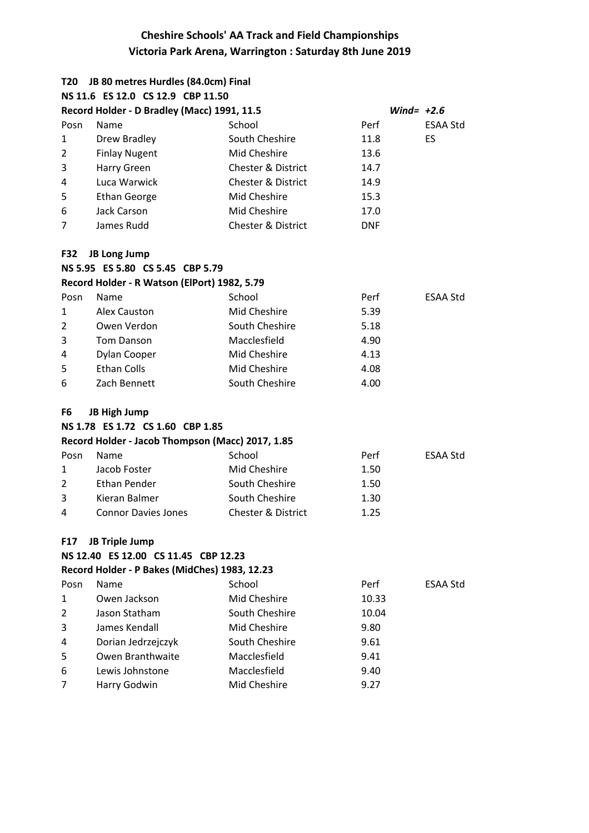| T20  | JB 80 metres Hurdles (84.0cm) Final                      |                               |            |                 |
|------|----------------------------------------------------------|-------------------------------|------------|-----------------|
|      | NS 11.6 ES 12.0 CS 12.9 CBP 11.50                        |                               |            |                 |
|      | Record Holder - D Bradley (Macc) 1991, 11.5              |                               |            | Wind= $+2.6$    |
| Posn | Name                                                     | School                        | Perf       | <b>ESAA Std</b> |
| 1    | Drew Bradley                                             | South Cheshire                | 11.8       | ES              |
| 2    | <b>Finlay Nugent</b>                                     | Mid Cheshire                  | 13.6       |                 |
| 3    | <b>Harry Green</b>                                       | <b>Chester &amp; District</b> | 14.7       |                 |
| 4    | Luca Warwick                                             | <b>Chester &amp; District</b> | 14.9       |                 |
| 5    | <b>Ethan George</b>                                      | Mid Cheshire                  | 15.3       |                 |
| 6    | Jack Carson                                              | Mid Cheshire                  | 17.0       |                 |
| 7    | James Rudd                                               | <b>Chester &amp; District</b> | <b>DNF</b> |                 |
| F32  | <b>JB Long Jump</b>                                      |                               |            |                 |
|      | NS 5.95 ES 5.80 CS 5.45 CBP 5.79                         |                               |            |                 |
|      | Record Holder - R Watson (ElPort) 1982, 5.79             |                               |            |                 |
| Posn | Name                                                     | School                        | Perf       | <b>ESAA Std</b> |
| 1    | <b>Alex Causton</b>                                      | <b>Mid Cheshire</b>           | 5.39       |                 |
| 2    | Owen Verdon                                              | South Cheshire                | 5.18       |                 |
| 3    | <b>Tom Danson</b>                                        | Macclesfield                  | 4.90       |                 |
| 4    | Dylan Cooper                                             | Mid Cheshire                  | 4.13       |                 |
| 5    | <b>Ethan Colls</b>                                       | Mid Cheshire                  | 4.08       |                 |
| 6    | Zach Bennett                                             | South Cheshire                | 4.00       |                 |
| F6   | <b>JB High Jump</b><br>NS 1.78 ES 1.72 CS 1.60 CBP 1.85  |                               |            |                 |
|      |                                                          |                               |            |                 |
|      | Record Holder - Jacob Thompson (Macc) 2017, 1.85<br>Name | School                        |            | <b>ESAA Std</b> |
| Posn | Jacob Foster                                             | Mid Cheshire                  | Perf       |                 |
| 1    | Ethan Pender                                             | South Cheshire                | 1.50       |                 |
| 2    |                                                          |                               | 1.50       |                 |
| 3    | Kieran Balmer                                            | South Cheshire                | 1.30       |                 |
| 4    | <b>Connor Davies Jones</b>                               | Chester & District            | 1.25       |                 |
| F17  | <b>JB Triple Jump</b>                                    |                               |            |                 |
|      | NS 12.40 ES 12.00 CS 11.45 CBP 12.23                     |                               |            |                 |
|      | Record Holder - P Bakes (MidChes) 1983, 12.23            |                               |            |                 |
| Posn | Name                                                     | School                        | Perf       | ESAA Std        |
| 1    | Owen Jackson                                             | Mid Cheshire                  | 10.33      |                 |
| 2    | Jason Statham                                            | South Cheshire                | 10.04      |                 |
| 3    | James Kendall                                            | Mid Cheshire                  | 9.80       |                 |
| 4    | Dorian Jedrzejczyk                                       | South Cheshire                | 9.61       |                 |
| 5    | Owen Branthwaite                                         | Macclesfield                  | 9.41       |                 |
| 6    | Lewis Johnstone                                          | Macclesfield                  | 9.40       |                 |
| 7    | Harry Godwin                                             | Mid Cheshire                  | 9.27       |                 |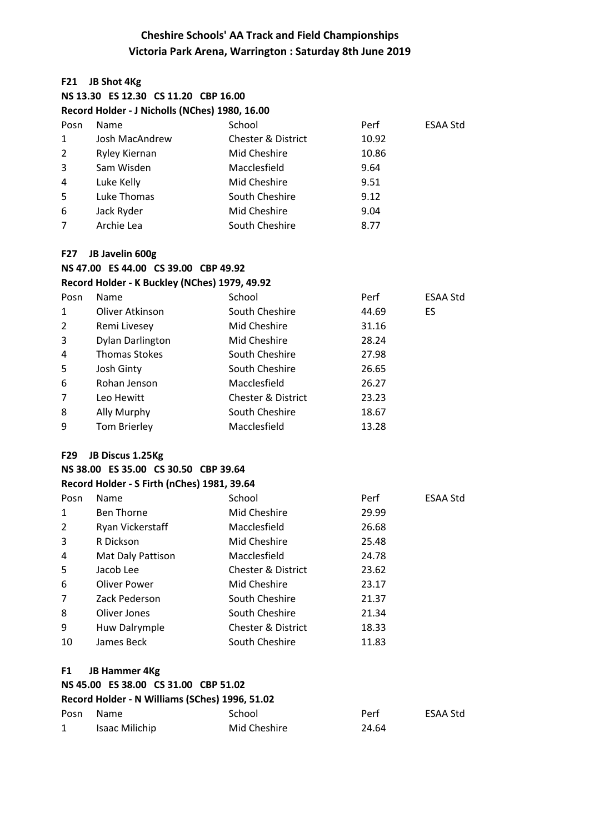### $IP$  Chat  $AV$

| F21            | <b>JB Shot 4Kg</b>                             |                               |       |                 |
|----------------|------------------------------------------------|-------------------------------|-------|-----------------|
|                | NS 13.30 ES 12.30 CS 11.20 CBP 16.00           |                               |       |                 |
|                | Record Holder - J Nicholls (NChes) 1980, 16.00 |                               |       |                 |
| Posn           | Name                                           | School                        | Perf  | ESAA Std        |
| 1              | Josh MacAndrew                                 | <b>Chester &amp; District</b> | 10.92 |                 |
| 2              | Ryley Kiernan                                  | Mid Cheshire                  | 10.86 |                 |
| 3              | Sam Wisden                                     | Macclesfield                  | 9.64  |                 |
| 4              | Luke Kelly                                     | Mid Cheshire                  | 9.51  |                 |
| 5              | Luke Thomas                                    | South Cheshire                | 9.12  |                 |
| 6              | Jack Ryder                                     | Mid Cheshire                  | 9.04  |                 |
| 7              | Archie Lea                                     | South Cheshire                | 8.77  |                 |
| F27            | JB Javelin 600g                                |                               |       |                 |
|                | NS 47.00 ES 44.00 CS 39.00 CBP 49.92           |                               |       |                 |
|                | Record Holder - K Buckley (NChes) 1979, 49.92  |                               |       |                 |
| Posn           | Name                                           | School                        | Perf  | ESAA Std        |
| 1              | Oliver Atkinson                                | South Cheshire                | 44.69 | ES              |
| 2              | Remi Livesey                                   | Mid Cheshire                  | 31.16 |                 |
| 3              | Dylan Darlington                               | Mid Cheshire                  | 28.24 |                 |
| 4              | <b>Thomas Stokes</b>                           | South Cheshire                | 27.98 |                 |
| 5              | Josh Ginty                                     | South Cheshire                | 26.65 |                 |
| 6              | Rohan Jenson                                   | Macclesfield                  | 26.27 |                 |
| 7              | Leo Hewitt                                     | <b>Chester &amp; District</b> | 23.23 |                 |
| 8              | Ally Murphy                                    | South Cheshire                | 18.67 |                 |
| 9              | Tom Brierley                                   | Macclesfield                  | 13.28 |                 |
| F29            | JB Discus 1.25Kg                               |                               |       |                 |
|                | NS 38.00 ES 35.00 CS 30.50 CBP 39.64           |                               |       |                 |
|                | Record Holder - S Firth (nChes) 1981, 39.64    |                               |       |                 |
| Posn           | Name                                           | School                        | Perf  | <b>ESAA Std</b> |
| 1              | <b>Ben Thorne</b>                              | Mid Cheshire                  | 29.99 |                 |
| $\overline{2}$ | Ryan Vickerstaff                               | Macclesfield                  | 26.68 |                 |
| 3              | R Dickson                                      | Mid Cheshire                  | 25.48 |                 |
| 4              | Mat Daly Pattison                              | Macclesfield                  | 24.78 |                 |
| 5              | Jacob Lee                                      | Chester & District            | 23.62 |                 |
| 6              | <b>Oliver Power</b>                            | Mid Cheshire                  | 23.17 |                 |
| 7              | Zack Pederson                                  | South Cheshire                | 21.37 |                 |
| 8              | Oliver Jones                                   | South Cheshire                | 21.34 |                 |
| 9              | Huw Dalrymple                                  | <b>Chester &amp; District</b> | 18.33 |                 |
| 10             | James Beck                                     | South Cheshire                | 11.83 |                 |
| F <sub>1</sub> | <b>JB Hammer 4Kg</b>                           |                               |       |                 |
|                | NS 45.00 ES 38.00 CS 31.00 CBP 51.02           |                               |       |                 |
|                | Record Holder - N Williams (SChes) 1996, 51.02 |                               |       |                 |
| Posn           | Name                                           | School                        | Perf  | ESAA Std        |
| 1              | Isaac Milichip                                 | Mid Cheshire                  | 24.64 |                 |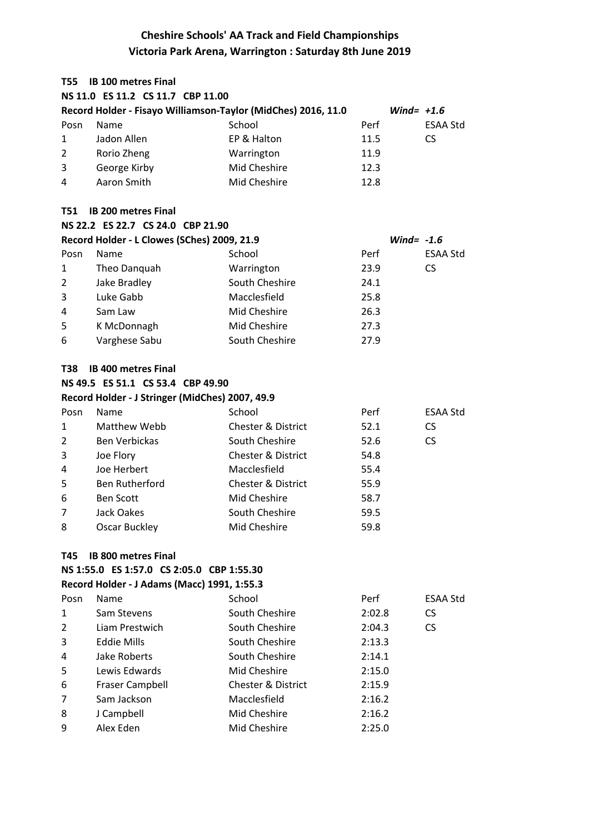| T55  | <b>IB 100 metres Final</b>                      |                                                               |        |                 |
|------|-------------------------------------------------|---------------------------------------------------------------|--------|-----------------|
|      | NS 11.0 ES 11.2 CS 11.7 CBP 11.00               |                                                               |        |                 |
|      |                                                 | Record Holder - Fisayo Williamson-Taylor (MidChes) 2016, 11.0 |        | Wind= $+1.6$    |
| Posn | Name                                            | School                                                        | Perf   | <b>ESAA Std</b> |
| 1    | Jadon Allen                                     | EP & Halton                                                   | 11.5   | <b>CS</b>       |
| 2    | Rorio Zheng                                     | Warrington                                                    | 11.9   |                 |
| 3    | George Kirby                                    | Mid Cheshire                                                  | 12.3   |                 |
| 4    | Aaron Smith                                     | Mid Cheshire                                                  | 12.8   |                 |
| T51  | <b>IB 200 metres Final</b>                      |                                                               |        |                 |
|      | NS 22.2 ES 22.7 CS 24.0 CBP 21.90               |                                                               |        |                 |
|      | Record Holder - L Clowes (SChes) 2009, 21.9     |                                                               |        | Wind= $-1.6$    |
| Posn | Name                                            | School                                                        | Perf   | <b>ESAA Std</b> |
| 1    | Theo Danquah                                    | Warrington                                                    | 23.9   | <b>CS</b>       |
| 2    | Jake Bradley                                    | South Cheshire                                                | 24.1   |                 |
| 3    | Luke Gabb                                       | Macclesfield                                                  | 25.8   |                 |
| 4    | Sam Law                                         | Mid Cheshire                                                  | 26.3   |                 |
| 5    | K McDonnagh                                     | Mid Cheshire                                                  | 27.3   |                 |
| 6    | Varghese Sabu                                   | South Cheshire                                                | 27.9   |                 |
| T38  | <b>IB 400 metres Final</b>                      |                                                               |        |                 |
|      | NS 49.5 ES 51.1 CS 53.4 CBP 49.90               |                                                               |        |                 |
|      | Record Holder - J Stringer (MidChes) 2007, 49.9 |                                                               |        |                 |
| Posn | Name                                            | School                                                        | Perf   | <b>ESAA Std</b> |
| 1    | Matthew Webb                                    | <b>Chester &amp; District</b>                                 | 52.1   | <b>CS</b>       |
| 2    | <b>Ben Verbickas</b>                            | South Cheshire                                                | 52.6   | <b>CS</b>       |
| 3    | Joe Flory                                       | <b>Chester &amp; District</b>                                 | 54.8   |                 |
| 4    | Joe Herbert                                     | Macclesfield                                                  | 55.4   |                 |
| 5    | Ben Rutherford                                  | <b>Chester &amp; District</b>                                 | 55.9   |                 |
| 6    | <b>Ben Scott</b>                                | Mid Cheshire                                                  | 58.7   |                 |
| 7    | Jack Oakes                                      | South Cheshire                                                | 59.5   |                 |
| 8    | <b>Oscar Buckley</b>                            | Mid Cheshire                                                  | 59.8   |                 |
| T45  | <b>IB 800 metres Final</b>                      |                                                               |        |                 |
|      | NS 1:55.0 ES 1:57.0 CS 2:05.0 CBP 1:55.30       |                                                               |        |                 |
|      | Record Holder - J Adams (Macc) 1991, 1:55.3     |                                                               |        |                 |
| Posn | Name                                            | School                                                        | Perf   | <b>ESAA Std</b> |
| 1    | Sam Stevens                                     | South Cheshire                                                | 2:02.8 | <b>CS</b>       |
| 2    | Liam Prestwich                                  | South Cheshire                                                | 2:04.3 | <b>CS</b>       |
| 3    | <b>Eddie Mills</b>                              | South Cheshire                                                | 2:13.3 |                 |
| 4    | <b>Jake Roberts</b>                             | South Cheshire                                                | 2:14.1 |                 |
| 5    | Lewis Edwards                                   | Mid Cheshire                                                  | 2:15.0 |                 |
| 6    | <b>Fraser Campbell</b>                          | <b>Chester &amp; District</b>                                 | 2:15.9 |                 |
| 7    | Sam Jackson                                     | Macclesfield                                                  | 2:16.2 |                 |
| 8    | J Campbell                                      | Mid Cheshire                                                  | 2:16.2 |                 |
| 9    | Alex Eden                                       | Mid Cheshire                                                  | 2:25.0 |                 |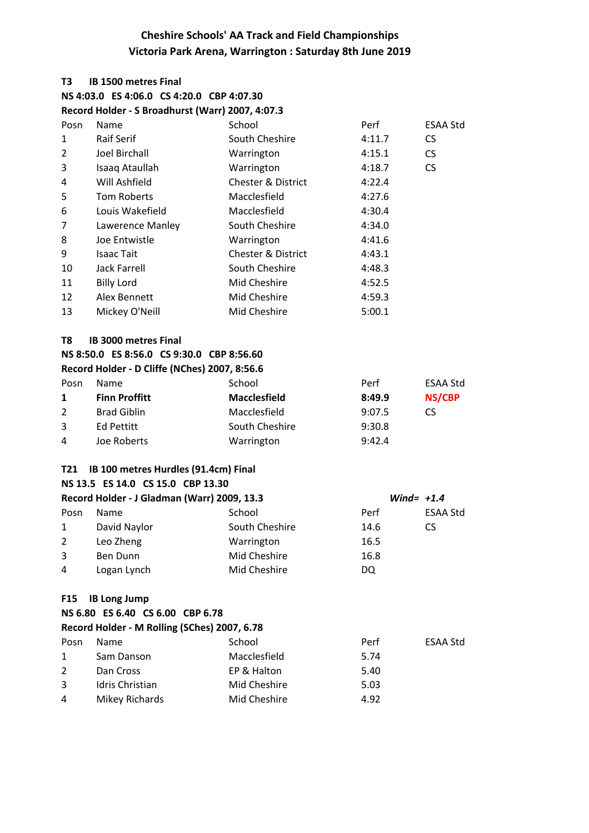| T3              | <b>IB 1500 metres Final</b>                      |                               |              |                 |
|-----------------|--------------------------------------------------|-------------------------------|--------------|-----------------|
|                 | NS 4:03.0 ES 4:06.0 CS 4:20.0 CBP 4:07.30        |                               |              |                 |
|                 | Record Holder - S Broadhurst (Warr) 2007, 4:07.3 |                               |              |                 |
| Posn            | Name                                             | School                        | Perf         | <b>ESAA Std</b> |
| 1               | <b>Raif Serif</b>                                | South Cheshire                | 4:11.7       | CS.             |
| $\overline{2}$  | Joel Birchall                                    | Warrington                    | 4:15.1       | <b>CS</b>       |
| 3               | Isaaq Ataullah                                   | Warrington                    | 4:18.7       | <b>CS</b>       |
| 4               | Will Ashfield                                    | <b>Chester &amp; District</b> | 4:22.4       |                 |
| 5               | <b>Tom Roberts</b>                               | Macclesfield                  | 4:27.6       |                 |
| 6               | Louis Wakefield                                  | Macclesfield                  | 4:30.4       |                 |
| $\overline{7}$  | Lawerence Manley                                 | South Cheshire                | 4:34.0       |                 |
| 8               | Joe Entwistle                                    | Warrington                    | 4:41.6       |                 |
| 9               | <b>Isaac Tait</b>                                | <b>Chester &amp; District</b> | 4:43.1       |                 |
| 10              | Jack Farrell                                     | South Cheshire                | 4:48.3       |                 |
| 11              | <b>Billy Lord</b>                                | Mid Cheshire                  | 4:52.5       |                 |
| 12              | Alex Bennett                                     | Mid Cheshire                  | 4:59.3       |                 |
| 13              | Mickey O'Neill                                   | Mid Cheshire                  | 5:00.1       |                 |
| T8              | <b>IB 3000 metres Final</b>                      |                               |              |                 |
|                 | NS 8:50.0 ES 8:56.0 CS 9:30.0 CBP 8:56.60        |                               |              |                 |
|                 | Record Holder - D Cliffe (NChes) 2007, 8:56.6    |                               |              |                 |
| Posn            | Name                                             | School                        | Perf         | ESAA Std        |
| 1               | <b>Finn Proffitt</b>                             | <b>Macclesfield</b>           | 8:49.9       | <b>NS/CBP</b>   |
| $\overline{2}$  | <b>Brad Giblin</b>                               | Macclesfield                  | 9:07.5       | CS.             |
| 3               | <b>Ed Pettitt</b>                                | South Cheshire                | 9:30.8       |                 |
| 4               | Joe Roberts                                      | Warrington                    | 9:42.4       |                 |
|                 |                                                  |                               |              |                 |
| T21             | IB 100 metres Hurdles (91.4cm) Final             |                               |              |                 |
|                 | NS 13.5 ES 14.0 CS 15.0 CBP 13.30                |                               |              |                 |
|                 | Record Holder - J Gladman (Warr) 2009, 13.3      |                               | Wind= $+1.4$ |                 |
| Posn            | Name                                             | School                        | Perf         | <b>ESAA Std</b> |
| 1               | David Naylor                                     | South Cheshire                | 14.6         | CS              |
| $\overline{2}$  | Leo Zheng                                        | Warrington                    | 16.5         |                 |
| 3               | <b>Ben Dunn</b>                                  | Mid Cheshire                  | 16.8         |                 |
| 4               | Logan Lynch                                      | Mid Cheshire                  | <b>DQ</b>    |                 |
| F <sub>15</sub> | <b>IB Long Jump</b>                              |                               |              |                 |
|                 | NS 6.80 ES 6.40 CS 6.00 CBP 6.78                 |                               |              |                 |
|                 | Record Holder - M Rolling (SChes) 2007, 6.78     |                               |              |                 |
| Posn            | Name                                             | School                        | Perf         | <b>ESAA Std</b> |
| 1               | Sam Danson                                       | Macclesfield                  | 5.74         |                 |
| 2               | Dan Cross                                        | EP & Halton                   | 5.40         |                 |
| 3               | Idris Christian                                  | Mid Cheshire                  | 5.03         |                 |
| 4               | <b>Mikey Richards</b>                            | Mid Cheshire                  | 4.92         |                 |
|                 |                                                  |                               |              |                 |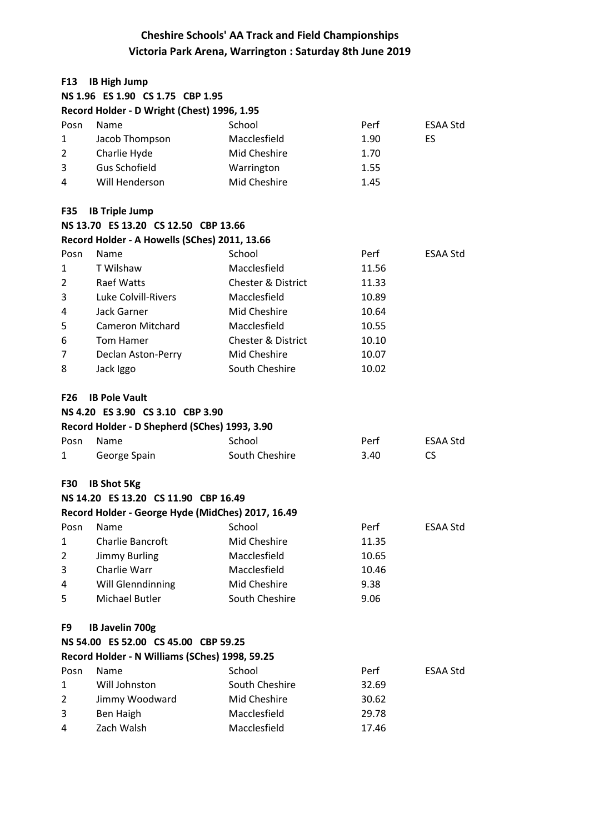#### F13 IB High Jump

|            | NS 1.96 ES 1.90 CS 1.75 CBP 1.95                  |                               |       |                 |
|------------|---------------------------------------------------|-------------------------------|-------|-----------------|
|            | Record Holder - D Wright (Chest) 1996, 1.95       |                               |       |                 |
| Posn       | Name                                              | School                        | Perf  | ESAA Std        |
| 1          | Jacob Thompson                                    | Macclesfield                  | 1.90  | ES              |
| 2          | Charlie Hyde                                      | Mid Cheshire                  | 1.70  |                 |
| 3          | <b>Gus Schofield</b>                              | Warrington                    | 1.55  |                 |
| 4          | Will Henderson                                    | Mid Cheshire                  | 1.45  |                 |
| <b>F35</b> | <b>IB Triple Jump</b>                             |                               |       |                 |
|            | NS 13.70 ES 13.20 CS 12.50 CBP 13.66              |                               |       |                 |
|            | Record Holder - A Howells (SChes) 2011, 13.66     |                               |       |                 |
| Posn       | Name                                              | School                        | Perf  | ESAA Std        |
| 1          | T Wilshaw                                         | Macclesfield                  | 11.56 |                 |
| 2          | Raef Watts                                        | <b>Chester &amp; District</b> | 11.33 |                 |
| 3          | Luke Colvill-Rivers                               | Macclesfield                  | 10.89 |                 |
| 4          | Jack Garner                                       | Mid Cheshire                  | 10.64 |                 |
| 5          | <b>Cameron Mitchard</b>                           | Macclesfield                  | 10.55 |                 |
| 6          | Tom Hamer                                         | <b>Chester &amp; District</b> | 10.10 |                 |
| 7          | Declan Aston-Perry                                | Mid Cheshire                  | 10.07 |                 |
| 8          | Jack Iggo                                         | South Cheshire                | 10.02 |                 |
| F26        | <b>IB Pole Vault</b>                              |                               |       |                 |
|            | NS 4.20 ES 3.90 CS 3.10 CBP 3.90                  |                               |       |                 |
|            | Record Holder - D Shepherd (SChes) 1993, 3.90     |                               |       |                 |
| Posn       | Name                                              | School                        | Perf  | ESAA Std        |
| 1          | George Spain                                      | South Cheshire                | 3.40  | <b>CS</b>       |
| <b>F30</b> | <b>IB Shot 5Kg</b>                                |                               |       |                 |
|            | NS 14.20 ES 13.20 CS 11.90 CBP 16.49              |                               |       |                 |
|            | Record Holder - George Hyde (MidChes) 2017, 16.49 |                               |       |                 |
| Posn       | Name                                              | School                        | Perf  | <b>ESAA Std</b> |
| 1          | Charlie Bancroft                                  | Mid Cheshire                  | 11.35 |                 |
| 2          | <b>Jimmy Burling</b>                              | Macclesfield                  | 10.65 |                 |
| 3          | Charlie Warr                                      | Macclesfield                  | 10.46 |                 |
| 4          | Will Glenndinning                                 | Mid Cheshire                  | 9.38  |                 |
| 5          | Michael Butler                                    | South Cheshire                | 9.06  |                 |
| F9         | <b>IB Javelin 700g</b>                            |                               |       |                 |
|            | NS 54.00 ES 52.00 CS 45.00 CBP 59.25              |                               |       |                 |
|            | Record Holder - N Williams (SChes) 1998, 59.25    |                               |       |                 |
| Posn       | Name                                              | School                        | Perf  | ESAA Std        |
| 1          | Will Johnston                                     | South Cheshire                | 32.69 |                 |
| 2          | Jimmy Woodward                                    | Mid Cheshire                  | 30.62 |                 |
| 3          | Ben Haigh                                         | Macclesfield                  | 29.78 |                 |
| 4          | Zach Walsh                                        | Macclesfield                  | 17.46 |                 |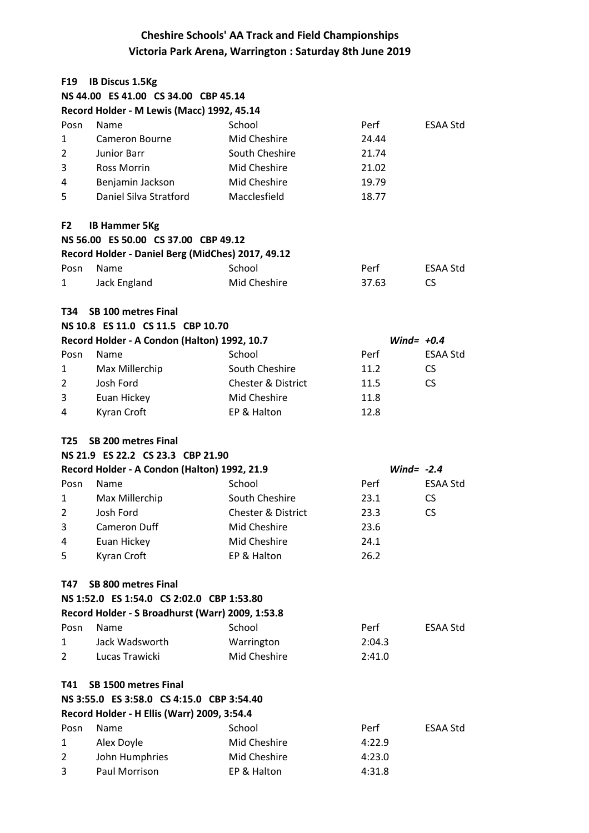| F <sub>19</sub> | <b>IB Discus 1.5Kg</b>                            |                               |              |           |
|-----------------|---------------------------------------------------|-------------------------------|--------------|-----------|
|                 | NS 44.00 ES 41.00 CS 34.00 CBP 45.14              |                               |              |           |
|                 | Record Holder - M Lewis (Macc) 1992, 45.14        |                               |              |           |
| Posn            | Name                                              | School                        | Perf         | ESAA Std  |
| 1               | Cameron Bourne                                    | Mid Cheshire                  | 24.44        |           |
| $\overline{2}$  | <b>Junior Barr</b>                                | South Cheshire                | 21.74        |           |
| 3               | <b>Ross Morrin</b>                                | Mid Cheshire                  | 21.02        |           |
| 4               | Benjamin Jackson                                  | Mid Cheshire                  | 19.79        |           |
| 5               | Daniel Silva Stratford                            | Macclesfield                  | 18.77        |           |
| F <sub>2</sub>  | <b>IB Hammer 5Kg</b>                              |                               |              |           |
|                 | NS 56.00 ES 50.00 CS 37.00 CBP 49.12              |                               |              |           |
|                 | Record Holder - Daniel Berg (MidChes) 2017, 49.12 |                               |              |           |
| Posn            | Name                                              | School                        | Perf         | ESAA Std  |
| 1               | Jack England                                      | Mid Cheshire                  | 37.63        | <b>CS</b> |
|                 |                                                   |                               |              |           |
| T34             | <b>SB 100 metres Final</b>                        |                               |              |           |
|                 | NS 10.8 ES 11.0 CS 11.5 CBP 10.70                 |                               |              |           |
|                 | Record Holder - A Condon (Halton) 1992, 10.7      |                               | Wind= $+0.4$ |           |
| Posn            | Name                                              | School                        | Perf         | ESAA Std  |
| 1               | Max Millerchip                                    | South Cheshire                | 11.2         | <b>CS</b> |
| 2               | Josh Ford                                         | <b>Chester &amp; District</b> | 11.5         | <b>CS</b> |
| 3               | Euan Hickey                                       | Mid Cheshire                  | 11.8         |           |
| 4               | Kyran Croft                                       | EP & Halton                   | 12.8         |           |
| T25             | <b>SB 200 metres Final</b>                        |                               |              |           |
|                 | NS 21.9 ES 22.2 CS 23.3 CBP 21.90                 |                               |              |           |
|                 | Record Holder - A Condon (Halton) 1992, 21.9      |                               | Wind= $-2.4$ |           |
| Posn            | Name                                              | School                        | Perf         | ESAA Std  |
| 1               | Max Millerchip                                    | South Cheshire                | 23.1         | <b>CS</b> |
| 2               | Josh Ford                                         | <b>Chester &amp; District</b> | 23.3         | <b>CS</b> |
| 3               | Cameron Duff                                      | Mid Cheshire                  | 23.6         |           |
| 4               | Euan Hickey                                       | Mid Cheshire                  | 24.1         |           |
| 5               | Kyran Croft                                       | EP & Halton                   | 26.2         |           |
| T47             | <b>SB 800 metres Final</b>                        |                               |              |           |
|                 | NS 1:52.0 ES 1:54.0 CS 2:02.0 CBP 1:53.80         |                               |              |           |
|                 | Record Holder - S Broadhurst (Warr) 2009, 1:53.8  |                               |              |           |
| Posn            | Name                                              | School                        | Perf         | ESAA Std  |
| 1               | Jack Wadsworth                                    | Warrington                    | 2:04.3       |           |
| 2               | Lucas Trawicki                                    | Mid Cheshire                  | 2:41.0       |           |
|                 |                                                   |                               |              |           |
| T41             | SB 1500 metres Final                              |                               |              |           |
|                 |                                                   |                               |              |           |
|                 | NS 3:55.0 ES 3:58.0 CS 4:15.0 CBP 3:54.40         |                               |              |           |
|                 | Record Holder - H Ellis (Warr) 2009, 3:54.4       |                               |              |           |
| Posn            | Name                                              | School                        | Perf         | ESAA Std  |
| 1               | Alex Doyle                                        | Mid Cheshire                  | 4:22.9       |           |
| 2               | John Humphries                                    | Mid Cheshire                  | 4:23.0       |           |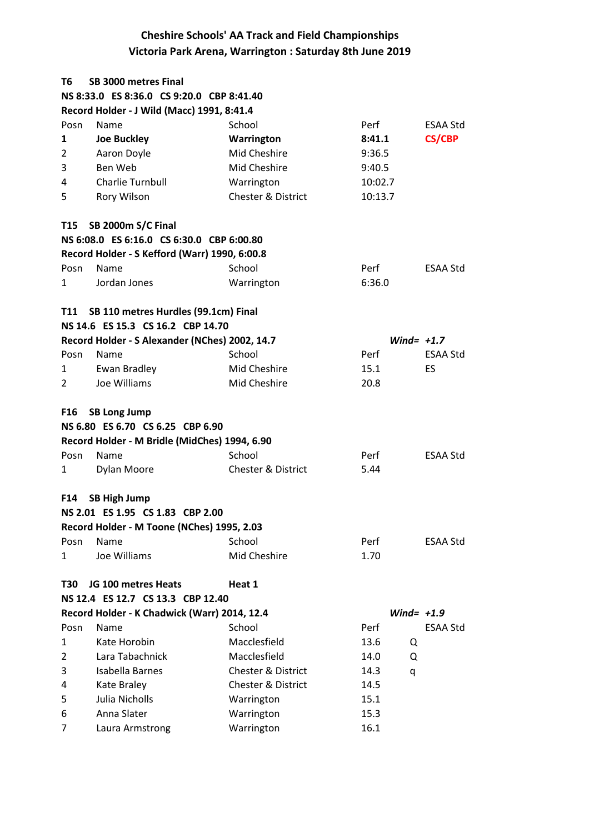| Т6   | SB 3000 metres Final                                                                                     |                               |              |                 |
|------|----------------------------------------------------------------------------------------------------------|-------------------------------|--------------|-----------------|
|      | NS 8:33.0 ES 8:36.0 CS 9:20.0 CBP 8:41.40                                                                |                               |              |                 |
|      | Record Holder - J Wild (Macc) 1991, 8:41.4                                                               |                               |              |                 |
| Posn | Name                                                                                                     | School                        | Perf         | ESAA Std        |
| 1    | <b>Joe Buckley</b>                                                                                       | Warrington                    | 8:41.1       | <b>CS/CBP</b>   |
| 2    | Aaron Doyle                                                                                              | Mid Cheshire                  | 9:36.5       |                 |
| 3    | Ben Web                                                                                                  | Mid Cheshire                  | 9:40.5       |                 |
| 4    | Charlie Turnbull                                                                                         | Warrington                    | 10:02.7      |                 |
| 5    | Rory Wilson                                                                                              | <b>Chester &amp; District</b> | 10:13.7      |                 |
| T15  | <b>SB 2000m S/C Final</b>                                                                                |                               |              |                 |
|      | NS 6:08.0 ES 6:16.0 CS 6:30.0 CBP 6:00.80                                                                |                               |              |                 |
|      | Record Holder - S Kefford (Warr) 1990, 6:00.8                                                            |                               |              |                 |
| Posn | Name                                                                                                     | School                        | Perf         | ESAA Std        |
| 1    | Jordan Jones                                                                                             | Warrington                    | 6:36.0       |                 |
| T11  | SB 110 metres Hurdles (99.1cm) Final                                                                     |                               |              |                 |
|      | NS 14.6 ES 15.3 CS 16.2 CBP 14.70                                                                        |                               |              |                 |
|      | Record Holder - S Alexander (NChes) 2002, 14.7                                                           |                               | Wind= $+1.7$ |                 |
| Posn | Name                                                                                                     | School                        | Perf         | <b>ESAA Std</b> |
| 1    | Ewan Bradley                                                                                             | Mid Cheshire                  | 15.1         | ES              |
| 2    | Joe Williams                                                                                             | Mid Cheshire                  | 20.8         |                 |
| F16  | <b>SB Long Jump</b><br>NS 6.80 ES 6.70 CS 6.25 CBP 6.90<br>Record Holder - M Bridle (MidChes) 1994, 6.90 |                               |              |                 |
| Posn | Name                                                                                                     | School                        | Perf         | <b>ESAA Std</b> |
| 1    | Dylan Moore                                                                                              | <b>Chester &amp; District</b> | 5.44         |                 |
| F14  | <b>SB High Jump</b>                                                                                      |                               |              |                 |
|      | NS 2.01 ES 1.95 CS 1.83 CBP 2.00                                                                         |                               |              |                 |
|      | Record Holder - M Toone (NChes) 1995, 2.03                                                               |                               |              |                 |
| Posn | Name                                                                                                     | School                        | Perf         | ESAA Std        |
| 1    | Joe Williams                                                                                             | Mid Cheshire                  | 1.70         |                 |
| T30  | JG 100 metres Heats                                                                                      | Heat 1                        |              |                 |
|      | NS 12.4 ES 12.7 CS 13.3 CBP 12.40                                                                        |                               |              |                 |
|      | Record Holder - K Chadwick (Warr) 2014, 12.4                                                             |                               | Wind= $+1.9$ |                 |
| Posn | Name                                                                                                     | School                        | Perf         | <b>ESAA Std</b> |
| 1    | Kate Horobin                                                                                             | Macclesfield                  | 13.6<br>Q    |                 |
| 2    | Lara Tabachnick                                                                                          | Macclesfield                  | 14.0<br>Q    |                 |
| 3    | Isabella Barnes                                                                                          | <b>Chester &amp; District</b> | 14.3<br>q    |                 |
| 4    | Kate Braley                                                                                              | <b>Chester &amp; District</b> | 14.5         |                 |
| 5    | Julia Nicholls                                                                                           | Warrington                    | 15.1         |                 |
| 6    | Anna Slater                                                                                              | Warrington                    | 15.3         |                 |
| 7    | Laura Armstrong                                                                                          | Warrington                    | 16.1         |                 |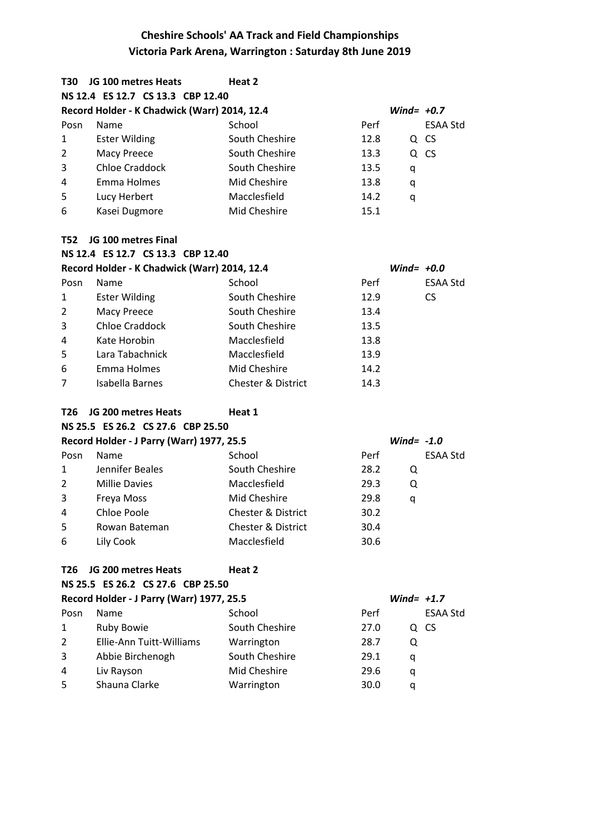| T30  | JG 100 metres Heats                          | Heat 2                        |      |              |                 |
|------|----------------------------------------------|-------------------------------|------|--------------|-----------------|
|      | NS 12.4 ES 12.7 CS 13.3 CBP 12.40            |                               |      |              |                 |
|      | Record Holder - K Chadwick (Warr) 2014, 12.4 |                               |      | Wind= $+0.7$ |                 |
| Posn | Name                                         | School                        | Perf |              | ESAA Std        |
| 1    | <b>Ester Wilding</b>                         | South Cheshire                | 12.8 |              | Q CS            |
| 2    | <b>Macy Preece</b>                           | South Cheshire                | 13.3 |              | Q CS            |
| 3    | <b>Chloe Craddock</b>                        | South Cheshire                | 13.5 | q            |                 |
| 4    | Emma Holmes                                  | Mid Cheshire                  | 13.8 | q            |                 |
| 5    | Lucy Herbert                                 | Macclesfield                  | 14.2 | q            |                 |
| 6    | Kasei Dugmore                                | Mid Cheshire                  | 15.1 |              |                 |
| T52  | JG 100 metres Final                          |                               |      |              |                 |
|      | NS 12.4 ES 12.7 CS 13.3 CBP 12.40            |                               |      |              |                 |
|      | Record Holder - K Chadwick (Warr) 2014, 12.4 |                               |      | Wind= $+0.0$ |                 |
| Posn | Name                                         | School                        | Perf |              | <b>ESAA Std</b> |
| 1    | <b>Ester Wilding</b>                         | South Cheshire                | 12.9 |              | <b>CS</b>       |
| 2    | Macy Preece                                  | South Cheshire                | 13.4 |              |                 |
| 3    | <b>Chloe Craddock</b>                        | South Cheshire                | 13.5 |              |                 |
| 4    | Kate Horobin                                 | Macclesfield                  | 13.8 |              |                 |
| 5    | Lara Tabachnick                              | Macclesfield                  | 13.9 |              |                 |
| 6    | Emma Holmes                                  | Mid Cheshire                  | 14.2 |              |                 |
| 7    | Isabella Barnes                              | <b>Chester &amp; District</b> | 14.3 |              |                 |
| T26  | JG 200 metres Heats                          | Heat 1                        |      |              |                 |
|      | NS 25.5 ES 26.2 CS 27.6 CBP 25.50            |                               |      |              |                 |
|      | Record Holder - J Parry (Warr) 1977, 25.5    |                               |      | Wind= $-1.0$ |                 |
| Posn | Name                                         | School                        | Perf |              | <b>ESAA Std</b> |
| 1    | Jennifer Beales                              | South Cheshire                | 28.2 | Q            |                 |
| 2    | <b>Millie Davies</b>                         | Macclesfield                  | 29.3 | Q            |                 |
| 3    | Freya Moss                                   | Mid Cheshire                  | 29.8 | q            |                 |
| 4    | <b>Chloe Poole</b>                           | <b>Chester &amp; District</b> | 30.2 |              |                 |
| 5    | Rowan Bateman                                | Chester & District            | 30.4 |              |                 |
| 6    | Lily Cook                                    | Macclesfield                  | 30.6 |              |                 |
| T26  | JG 200 metres Heats                          | Heat 2                        |      |              |                 |
|      | NS 25.5 ES 26.2 CS 27.6 CBP 25.50            |                               |      |              |                 |
|      | Record Holder - J Parry (Warr) 1977, 25.5    |                               |      | Wind= $+1.7$ |                 |
| Posn | Name                                         | School                        | Perf |              | <b>ESAA Std</b> |
| 1    | <b>Ruby Bowie</b>                            | South Cheshire                | 27.0 |              | Q CS            |
| 2    | Ellie-Ann Tuitt-Williams                     | Warrington                    | 28.7 | Q            |                 |
| 3    | Abbie Birchenogh                             | South Cheshire                | 29.1 | q            |                 |
| 4    | Liv Rayson                                   | Mid Cheshire                  | 29.6 | q            |                 |
| 5    | Shauna Clarke                                | Warrington                    | 30.0 | q            |                 |
|      |                                              |                               |      |              |                 |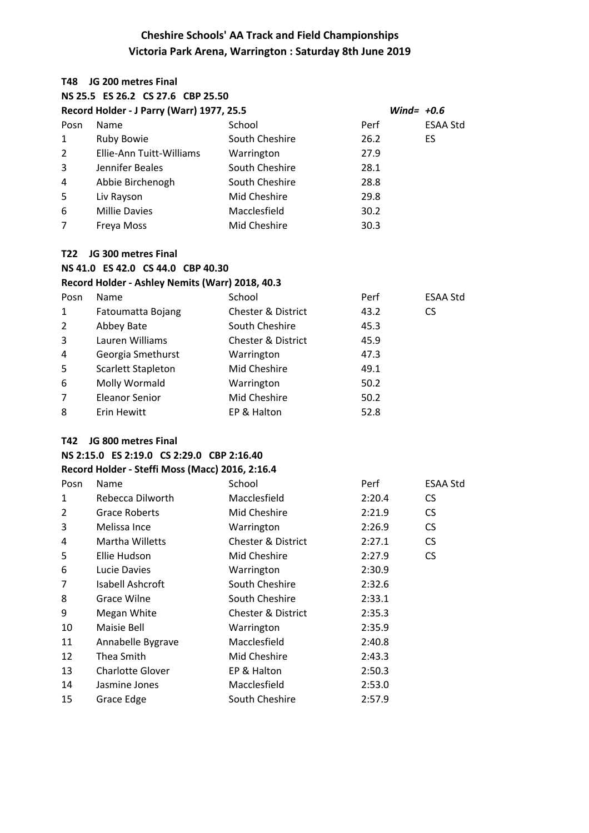### T48 JG 200 metres Final NS 25.5 ES 26.2 CS 27.6 CBP 25.50 Record Holder - J Parry (Warr) 1977, 25.5 Posn Name School School Perf ESAA Std 1 Ruby Bowie South Cheshire 26.2 ES Ellie-Ann Tuitt-Williams Warrington 27.9 Jennifer Beales South Cheshire 28.1 Abbie Birchenogh South Cheshire 28.8 Liv Rayson Mid Cheshire 29.8 Millie Davies Macclesfield 30.2 7 Freya Moss Mid Cheshire 30.3 Wind=  $+0.6$

#### T22 JG 300 metres Final

NS 41.0 ES 42.0 CS 44.0 CBP 40.30

#### Record Holder - Ashley Nemits (Warr) 2018, 40.3

| Name                      | School                        | Perf | <b>ESAA Std</b> |
|---------------------------|-------------------------------|------|-----------------|
| Fatoumatta Bojang         | <b>Chester &amp; District</b> | 43.2 | CS              |
| Abbey Bate                | South Cheshire                | 45.3 |                 |
| Lauren Williams           | <b>Chester &amp; District</b> | 45.9 |                 |
| Georgia Smethurst         | Warrington                    | 47.3 |                 |
| <b>Scarlett Stapleton</b> | Mid Cheshire                  | 49.1 |                 |
| Molly Wormald             | Warrington                    | 50.2 |                 |
| <b>Eleanor Senior</b>     | Mid Cheshire                  | 50.2 |                 |
| Erin Hewitt               | EP & Halton                   | 52.8 |                 |
|                           |                               |      |                 |

#### T42 JG 800 metres Final

### NS 2:15.0 ES 2:19.0 CS 2:29.0 CBP 2:16.40

#### Record Holder - Steffi Moss (Macc) 2016, 2:16.4

| Posn | Name                    | School                        | Perf   | ESAA Std  |
|------|-------------------------|-------------------------------|--------|-----------|
| 1    | Rebecca Dilworth        | Macclesfield                  | 2:20.4 | CS.       |
| 2    | Grace Roberts           | Mid Cheshire                  | 2:21.9 | <b>CS</b> |
| 3    | Melissa Ince            | Warrington                    | 2:26.9 | CS        |
| 4    | <b>Martha Willetts</b>  | <b>Chester &amp; District</b> | 2:27.1 | <b>CS</b> |
| 5    | Ellie Hudson            | Mid Cheshire                  | 2:27.9 | <b>CS</b> |
| 6    | Lucie Davies            | Warrington                    | 2:30.9 |           |
| 7    | Isabell Ashcroft        | South Cheshire                | 2:32.6 |           |
| 8    | Grace Wilne             | South Cheshire                | 2:33.1 |           |
| 9    | Megan White             | Chester & District            | 2:35.3 |           |
| 10   | Maisie Bell             | Warrington                    | 2:35.9 |           |
| 11   | Annabelle Bygrave       | Macclesfield                  | 2:40.8 |           |
| 12   | Thea Smith              | Mid Cheshire                  | 2:43.3 |           |
| 13   | <b>Charlotte Glover</b> | EP & Halton                   | 2:50.3 |           |
| 14   | Jasmine Jones           | Macclesfield                  | 2:53.0 |           |
| 15   | Grace Edge              | South Cheshire                | 2:57.9 |           |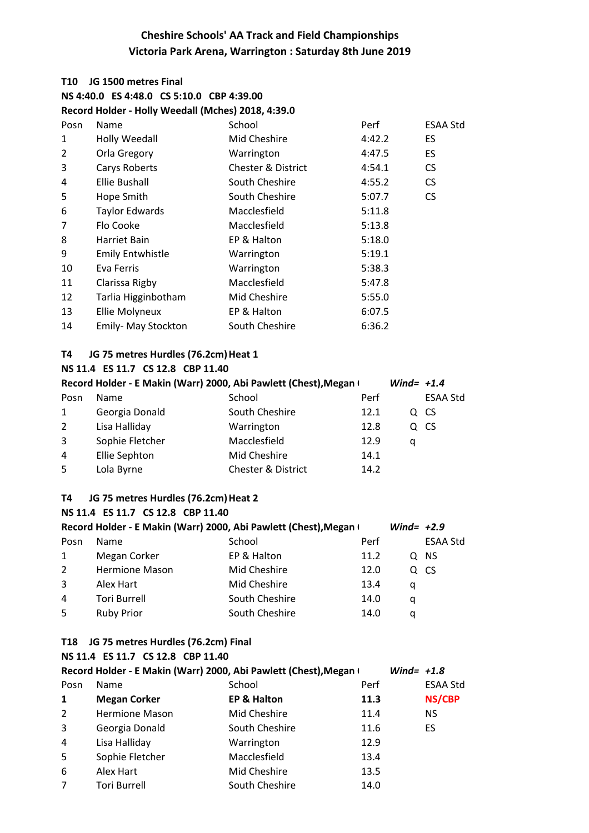### T10 JG 1500 metres Final NS 4:40.0 ES 4:48.0 CS 5:10.0 CBP 4:39.00

Record Holder - Holly Weedall (Mches) 2018, 4:39.0

| Posn           | Name                    | School                        | Perf   | <b>ESAA Std</b> |
|----------------|-------------------------|-------------------------------|--------|-----------------|
| 1              | <b>Holly Weedall</b>    | Mid Cheshire                  | 4:42.2 | ES              |
| $\overline{2}$ | Orla Gregory            | Warrington                    | 4:47.5 | ES              |
| 3              | Carys Roberts           | <b>Chester &amp; District</b> | 4:54.1 | CS              |
| 4              | Ellie Bushall           | South Cheshire                | 4:55.2 | CS              |
| 5              | Hope Smith              | South Cheshire                | 5:07.7 | <b>CS</b>       |
| 6              | <b>Taylor Edwards</b>   | Macclesfield                  | 5:11.8 |                 |
| 7              | Flo Cooke               | Macclesfield                  | 5:13.8 |                 |
| 8              | Harriet Bain            | EP & Halton                   | 5:18.0 |                 |
| 9              | <b>Emily Entwhistle</b> | Warrington                    | 5:19.1 |                 |
| 10             | Eva Ferris              | Warrington                    | 5:38.3 |                 |
| 11             | Clarissa Rigby          | Macclesfield                  | 5:47.8 |                 |
| 12             | Tarlia Higginbotham     | Mid Cheshire                  | 5:55.0 |                 |
| 13             | Ellie Molyneux          | EP & Halton                   | 6:07.5 |                 |
| 14             | Emily- May Stockton     | South Cheshire                | 6:36.2 |                 |
|                |                         |                               |        |                 |

### T4 JG 75 metres Hurdles (76.2cm) Heat 1

### NS 11.4 ES 11.7 CS 12.8 CBP 11.40

| Record Holder - E Makin (Warr) 2000, Abi Pawlett (Chest), Megan ( | Wind= $+1.4$         |                               |      |   |                 |
|-------------------------------------------------------------------|----------------------|-------------------------------|------|---|-----------------|
| Posn                                                              | <b>Name</b>          | School                        | Perf |   | <b>ESAA Std</b> |
| $\mathbf{1}$                                                      | Georgia Donald       | South Cheshire                | 12.1 |   | Q CS            |
| $\overline{2}$                                                    | Lisa Halliday        | Warrington                    | 12.8 | Ő | CS              |
| 3                                                                 | Sophie Fletcher      | Macclesfield                  | 12.9 | a |                 |
| 4                                                                 | <b>Ellie Sephton</b> | Mid Cheshire                  | 14.1 |   |                 |
| 5                                                                 | Lola Byrne           | <b>Chester &amp; District</b> | 14.2 |   |                 |

### T4 JG 75 metres Hurdles (76.2cm) Heat 2

### NS 11.4 ES 11.7 CS 12.8 CBP 11.40

| Record Holder - E Makin (Warr) 2000, Abi Pawlett (Chest), Megan ( |                     |                |      |   | Wind= $+2.9$    |
|-------------------------------------------------------------------|---------------------|----------------|------|---|-----------------|
| Posn                                                              | Name                | School         | Perf |   | <b>ESAA Std</b> |
| $\mathbf{1}$                                                      | Megan Corker        | EP & Halton    | 11.2 |   | Q NS            |
| $\overline{2}$                                                    | Hermione Mason      | Mid Cheshire   | 12.0 |   | - CS            |
| $\mathbf{3}$                                                      | Alex Hart           | Mid Cheshire   | 13.4 | a |                 |
| $\overline{a}$                                                    | <b>Tori Burrell</b> | South Cheshire | 14.0 | a |                 |
| 5                                                                 | <b>Ruby Prior</b>   | South Cheshire | 14.0 |   |                 |

#### T18 JG 75 metres Hurdles (76.2cm) Final

| NS 11.4 ES 11.7 CS 12.8 CBP 11.40 |                                                                   |                        |              |                 |  |  |
|-----------------------------------|-------------------------------------------------------------------|------------------------|--------------|-----------------|--|--|
|                                   | Record Holder - E Makin (Warr) 2000, Abi Pawlett (Chest), Megan ( |                        | Wind= $+1.8$ |                 |  |  |
| Posn                              | Name                                                              | School                 | Perf         | <b>ESAA Std</b> |  |  |
| 1                                 | <b>Megan Corker</b>                                               | <b>EP &amp; Halton</b> | 11.3         | <b>NS/CBP</b>   |  |  |
| $\overline{2}$                    | <b>Hermione Mason</b>                                             | Mid Cheshire           | 11.4         | <b>NS</b>       |  |  |
| 3                                 | Georgia Donald                                                    | South Cheshire         | 11.6         | ES              |  |  |
| 4                                 | Lisa Halliday                                                     | Warrington             | 12.9         |                 |  |  |
| 5                                 | Sophie Fletcher                                                   | Macclesfield           | 13.4         |                 |  |  |
| 6                                 | Alex Hart                                                         | Mid Cheshire           | 13.5         |                 |  |  |
| 7                                 | <b>Tori Burrell</b>                                               | South Cheshire         | 14.0         |                 |  |  |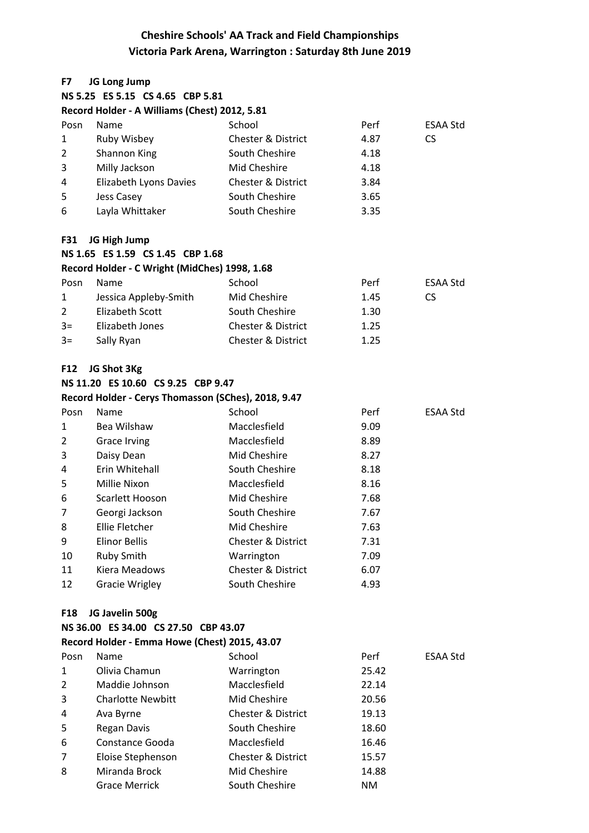#### F7 JG Long Jump

|                 | NS 5.25 ES 5.15 CS 4.65 CBP 5.81                    |                               |                |                 |
|-----------------|-----------------------------------------------------|-------------------------------|----------------|-----------------|
|                 | Record Holder - A Williams (Chest) 2012, 5.81       |                               |                |                 |
| Posn            | Name                                                | School                        | Perf           | ESAA Std        |
| 1               | Ruby Wisbey                                         | <b>Chester &amp; District</b> | 4.87           | CS.             |
| 2               | Shannon King                                        | South Cheshire                | 4.18           |                 |
| 3               | Milly Jackson                                       | Mid Cheshire                  | 4.18           |                 |
| 4               | Elizabeth Lyons Davies                              | <b>Chester &amp; District</b> | 3.84           |                 |
| 5               | Jess Casey                                          | South Cheshire                | 3.65           |                 |
| 6               | Layla Whittaker                                     | South Cheshire                | 3.35           |                 |
| F31             | JG High Jump                                        |                               |                |                 |
|                 | NS 1.65 ES 1.59 CS 1.45 CBP 1.68                    |                               |                |                 |
|                 | Record Holder - C Wright (MidChes) 1998, 1.68       |                               |                |                 |
| Posn            | Name                                                | School                        | Perf           | <b>ESAA Std</b> |
| 1               | Jessica Appleby-Smith                               | Mid Cheshire                  | 1.45           | <b>CS</b>       |
| $\overline{2}$  | <b>Elizabeth Scott</b>                              | South Cheshire                | 1.30           |                 |
| $3=$            | Elizabeth Jones                                     | <b>Chester &amp; District</b> | 1.25           |                 |
| $3=$            | Sally Ryan                                          | <b>Chester &amp; District</b> | 1.25           |                 |
| F <sub>12</sub> | JG Shot 3Kg                                         |                               |                |                 |
|                 | NS 11.20 ES 10.60 CS 9.25 CBP 9.47                  |                               |                |                 |
|                 | Record Holder - Cerys Thomasson (SChes), 2018, 9.47 |                               |                |                 |
| Posn            | Name                                                | School                        | Perf           | ESAA Std        |
| 1               | Bea Wilshaw                                         | Macclesfield                  | 9.09           |                 |
| 2               | <b>Grace Irving</b>                                 | Macclesfield                  | 8.89           |                 |
| 3               | Daisy Dean                                          | Mid Cheshire                  | 8.27           |                 |
| 4               | Erin Whitehall                                      | South Cheshire                | 8.18           |                 |
| 5               | Millie Nixon                                        | Macclesfield                  | 8.16           |                 |
| 6               | Scarlett Hooson                                     | Mid Cheshire                  | 7.68           |                 |
| 7               | Georgi Jackson                                      | South Cheshire                | 7.67           |                 |
| 8               | <b>Ellie Fletcher</b>                               | Mid Cheshire                  | 7.63           |                 |
| 9               | <b>Elinor Bellis</b>                                | Chester & District            | 7.31           |                 |
| 10              | <b>Ruby Smith</b>                                   | Warrington                    | 7.09           |                 |
| 11              | Kiera Meadows                                       | Chester & District            | 6.07           |                 |
| 12              | <b>Gracie Wrigley</b>                               | South Cheshire                | 4.93           |                 |
| F18             | JG Javelin 500g                                     |                               |                |                 |
|                 | NS 36.00 ES 34.00 CS 27.50 CBP 43.07                |                               |                |                 |
|                 | Record Holder - Emma Howe (Chest) 2015, 43.07       |                               |                |                 |
| Posn            | Name                                                | School                        | Perf           | ESAA Std        |
| 1               | Olivia Chamun                                       | Warrington                    | 25.42          |                 |
| 2               | Maddie Johnson                                      | Macclesfield                  | 22.14          |                 |
| 3               | <b>Charlotte Newbitt</b>                            | Mid Cheshire                  | 20.56          |                 |
| 4               |                                                     | Chester & District            | 19.13          |                 |
| 5               | Ava Byrne<br><b>Regan Davis</b>                     | South Cheshire                | 18.60          |                 |
| 6               | Constance Gooda                                     | Macclesfield                  | 16.46          |                 |
| 7               |                                                     | Chester & District            |                |                 |
| 8               | Eloise Stephenson<br>Miranda Brock                  | Mid Cheshire                  | 15.57<br>14.88 |                 |
|                 | <b>Grace Merrick</b>                                | South Cheshire                | <b>NM</b>      |                 |
|                 |                                                     |                               |                |                 |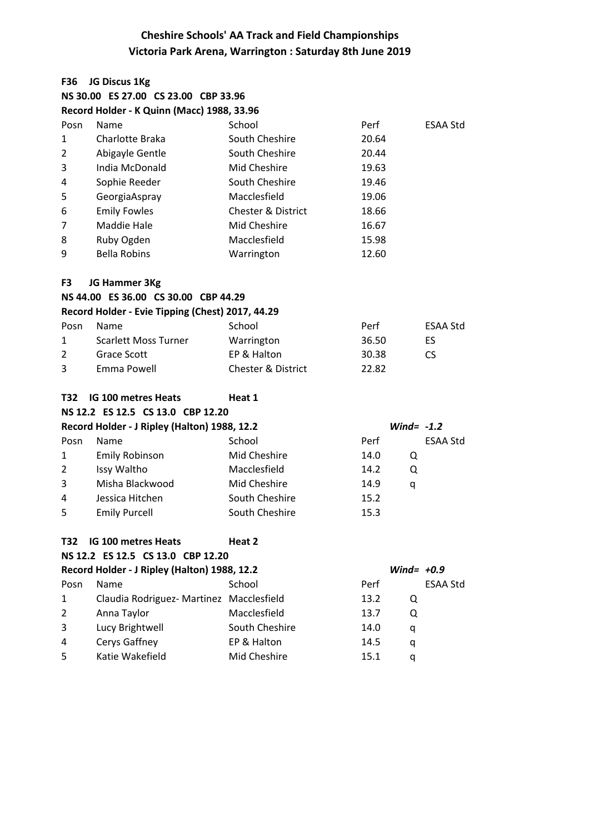| F36            | JG Discus 1Kg                                    |                               |       |              |                 |
|----------------|--------------------------------------------------|-------------------------------|-------|--------------|-----------------|
|                | NS 30.00 ES 27.00 CS 23.00 CBP 33.96             |                               |       |              |                 |
|                | Record Holder - K Quinn (Macc) 1988, 33.96       |                               |       |              |                 |
| Posn           | Name                                             | School                        | Perf  |              | ESAA Std        |
| 1              | Charlotte Braka                                  | South Cheshire                | 20.64 |              |                 |
| 2              | Abigayle Gentle                                  | South Cheshire                | 20.44 |              |                 |
| 3              | India McDonald                                   | Mid Cheshire                  | 19.63 |              |                 |
| 4              | Sophie Reeder                                    | South Cheshire                | 19.46 |              |                 |
| 5              | GeorgiaAspray                                    | Macclesfield                  | 19.06 |              |                 |
| 6              | <b>Emily Fowles</b>                              | <b>Chester &amp; District</b> | 18.66 |              |                 |
| 7              | <b>Maddie Hale</b>                               | <b>Mid Cheshire</b>           | 16.67 |              |                 |
| 8              | Ruby Ogden                                       | Macclesfield                  | 15.98 |              |                 |
| 9              | <b>Bella Robins</b>                              | Warrington                    | 12.60 |              |                 |
| F3             | JG Hammer 3Kg                                    |                               |       |              |                 |
|                | NS 44.00 ES 36.00 CS 30.00 CBP 44.29             |                               |       |              |                 |
|                | Record Holder - Evie Tipping (Chest) 2017, 44.29 |                               |       |              |                 |
| Posn           | Name                                             | School                        | Perf  |              | <b>ESAA Std</b> |
| 1              | <b>Scarlett Moss Turner</b>                      | Warrington                    | 36.50 |              | ES              |
| $\overline{2}$ | <b>Grace Scott</b>                               | EP & Halton                   | 30.38 |              | <b>CS</b>       |
| 3              | Emma Powell                                      | <b>Chester &amp; District</b> | 22.82 |              |                 |
| T32            | <b>IG 100 metres Heats</b>                       | Heat 1                        |       |              |                 |
|                | NS 12.2 ES 12.5 CS 13.0 CBP 12.20                |                               |       |              |                 |
|                | Record Holder - J Ripley (Halton) 1988, 12.2     |                               |       | Wind= $-1.2$ |                 |
| Posn           | Name                                             | School                        | Perf  |              | <b>ESAA Std</b> |
| 1              | <b>Emily Robinson</b>                            | Mid Cheshire                  | 14.0  | Q            |                 |
| 2              | Issy Waltho                                      | Macclesfield                  | 14.2  | Q            |                 |
| 3              | Misha Blackwood                                  | Mid Cheshire                  | 14.9  | q            |                 |
| 4              | Jessica Hitchen                                  | South Cheshire                | 15.2  |              |                 |
| 5              | <b>Emily Purcell</b>                             | South Cheshire                | 15.3  |              |                 |
| <b>T32</b>     | IG 100 metres Heats                              | Heat 2                        |       |              |                 |
|                | NS 12.2 ES 12.5 CS 13.0 CBP 12.20                |                               |       |              |                 |
|                | Record Holder - J Ripley (Halton) 1988, 12.2     |                               |       | Wind= $+0.9$ |                 |
| Posn           | Name                                             | School                        | Perf  |              | <b>ESAA Std</b> |
| 1              | Claudia Rodriguez- Martinez Macclesfield         |                               | 13.2  | Q            |                 |
| 2              | Anna Taylor                                      | Macclesfield                  | 13.7  | Q            |                 |
| 3              | Lucy Brightwell                                  | South Cheshire                | 14.0  | q            |                 |
| 4              | Cerys Gaffney                                    | EP & Halton                   | 14.5  | q            |                 |
| 5              | Katie Wakefield                                  | Mid Cheshire                  | 15.1  | q            |                 |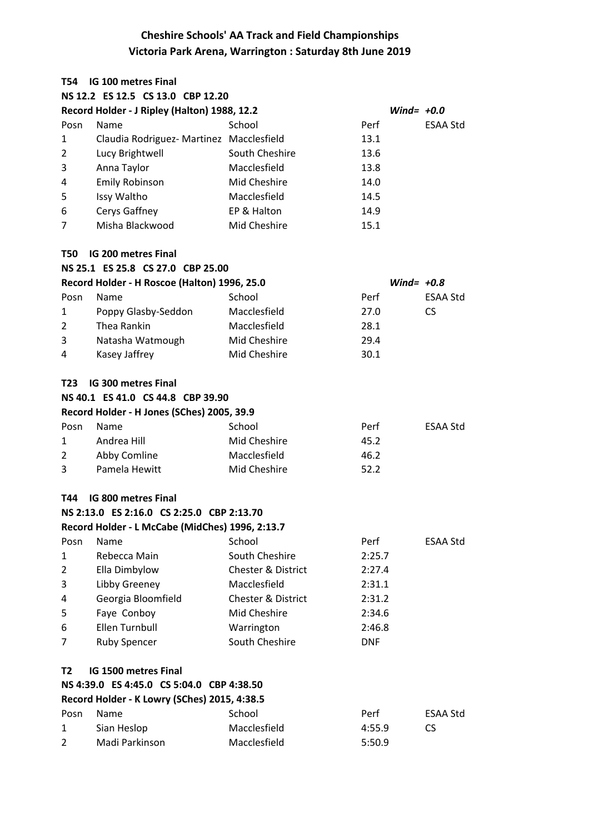| T54            | <b>IG 100 metres Final</b>                      |                               |              |                 |
|----------------|-------------------------------------------------|-------------------------------|--------------|-----------------|
|                | NS 12.2 ES 12.5 CS 13.0 CBP 12.20               |                               |              |                 |
|                | Record Holder - J Ripley (Halton) 1988, 12.2    |                               | Wind= $+0.0$ |                 |
| Posn           | Name                                            | School                        | Perf         | <b>ESAA Std</b> |
| 1              | Claudia Rodriguez- Martinez Macclesfield        |                               | 13.1         |                 |
| 2              | Lucy Brightwell                                 | South Cheshire                | 13.6         |                 |
| 3              | Anna Taylor                                     | Macclesfield                  | 13.8         |                 |
| 4              | <b>Emily Robinson</b>                           | Mid Cheshire                  | 14.0         |                 |
| 5              | Issy Waltho                                     | Macclesfield                  | 14.5         |                 |
| 6              | Cerys Gaffney                                   | EP & Halton                   | 14.9         |                 |
| 7              | Misha Blackwood                                 | Mid Cheshire                  | 15.1         |                 |
| T50            | <b>IG 200 metres Final</b>                      |                               |              |                 |
|                | NS 25.1 ES 25.8 CS 27.0 CBP 25.00               |                               |              |                 |
|                | Record Holder - H Roscoe (Halton) 1996, 25.0    |                               | Wind= $+0.8$ |                 |
| Posn           | Name                                            | School                        | Perf         | <b>ESAA Std</b> |
| 1              | Poppy Glasby-Seddon                             | Macclesfield                  | 27.0         | <b>CS</b>       |
| 2              | Thea Rankin                                     | Macclesfield                  | 28.1         |                 |
| 3              | Natasha Watmough                                | Mid Cheshire                  | 29.4         |                 |
| 4              | Kasey Jaffrey                                   | Mid Cheshire                  | 30.1         |                 |
| T23            | <b>IG 300 metres Final</b>                      |                               |              |                 |
|                | NS 40.1 ES 41.0 CS 44.8 CBP 39.90               |                               |              |                 |
|                | Record Holder - H Jones (SChes) 2005, 39.9      |                               |              |                 |
| Posn           | Name                                            | School                        | Perf         | ESAA Std        |
| 1              | Andrea Hill                                     | Mid Cheshire                  | 45.2         |                 |
| 2              | Abby Comline                                    | Macclesfield                  | 46.2         |                 |
| 3              | Pamela Hewitt                                   | Mid Cheshire                  | 52.2         |                 |
| T44            | <b>IG 800 metres Final</b>                      |                               |              |                 |
|                | NS 2:13.0 ES 2:16.0 CS 2:25.0 CBP 2:13.70       |                               |              |                 |
|                | Record Holder - L McCabe (MidChes) 1996, 2:13.7 |                               |              |                 |
| Posn           | Name                                            | School                        | Perf         | ESAA Std        |
| 1              | Rebecca Main                                    | South Cheshire                | 2:25.7       |                 |
| $\overline{2}$ | Ella Dimbylow                                   | <b>Chester &amp; District</b> | 2:27.4       |                 |
| 3              | Libby Greeney                                   | Macclesfield                  | 2:31.1       |                 |
| 4              | Georgia Bloomfield                              | Chester & District            | 2:31.2       |                 |
| 5              | Faye Conboy                                     | Mid Cheshire                  | 2:34.6       |                 |
| 6              | Ellen Turnbull                                  | Warrington                    | 2:46.8       |                 |
| 7              | <b>Ruby Spencer</b>                             | South Cheshire                | <b>DNF</b>   |                 |
| T <sub>2</sub> | IG 1500 metres Final                            |                               |              |                 |
|                | NS 4:39.0 ES 4:45.0 CS 5:04.0 CBP 4:38.50       |                               |              |                 |
|                | Record Holder - K Lowry (SChes) 2015, 4:38.5    |                               |              |                 |
| Posn           | Name                                            | School                        | Perf         | ESAA Std        |
| 1              | Sian Heslop                                     | Macclesfield                  | 4:55.9       | <b>CS</b>       |
| 2              | Madi Parkinson                                  | Macclesfield                  | 5:50.9       |                 |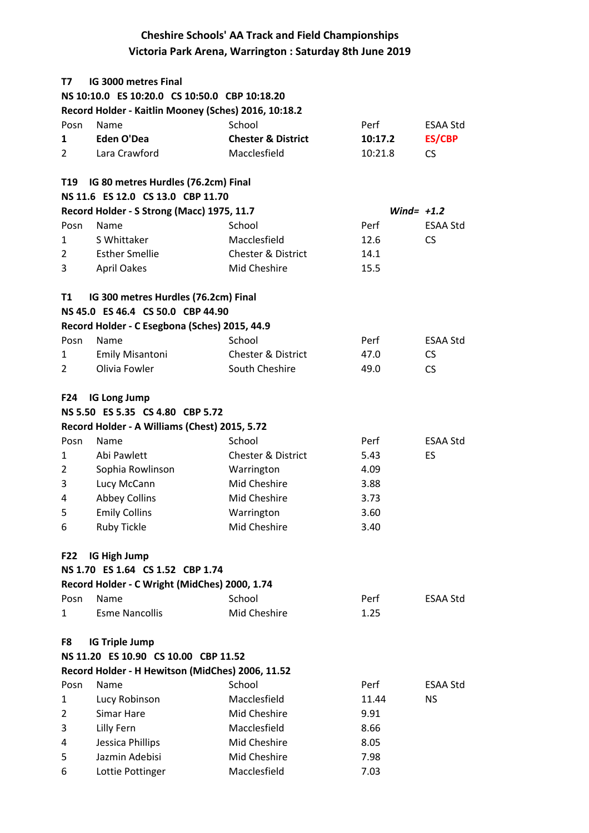| T7             | <b>IG 3000 metres Final</b>                          |                               |         |                 |
|----------------|------------------------------------------------------|-------------------------------|---------|-----------------|
|                | NS 10:10.0 ES 10:20.0 CS 10:50.0 CBP 10:18.20        |                               |         |                 |
|                | Record Holder - Kaitlin Mooney (Sches) 2016, 10:18.2 |                               |         |                 |
| Posn           | Name                                                 | School                        | Perf    | <b>ESAA Std</b> |
| 1              | Eden O'Dea                                           | <b>Chester &amp; District</b> | 10:17.2 | <b>ES/CBP</b>   |
| $\overline{2}$ | Lara Crawford                                        | Macclesfield                  | 10:21.8 | <b>CS</b>       |
| T19            | IG 80 metres Hurdles (76.2cm) Final                  |                               |         |                 |
|                | NS 11.6 ES 12.0 CS 13.0 CBP 11.70                    |                               |         |                 |
|                | Record Holder - S Strong (Macc) 1975, 11.7           |                               |         | Wind= $+1.2$    |
| Posn           | Name                                                 | School                        | Perf    | ESAA Std        |
| 1              | S Whittaker                                          | Macclesfield                  | 12.6    | <b>CS</b>       |
| $\overline{2}$ | <b>Esther Smellie</b>                                | <b>Chester &amp; District</b> | 14.1    |                 |
| 3              | <b>April Oakes</b>                                   | Mid Cheshire                  | 15.5    |                 |
| T1             | IG 300 metres Hurdles (76.2cm) Final                 |                               |         |                 |
|                | NS 45.0 ES 46.4 CS 50.0 CBP 44.90                    |                               |         |                 |
|                | Record Holder - C Esegbona (Sches) 2015, 44.9        |                               |         |                 |
| Posn           | Name                                                 | School                        | Perf    | <b>ESAA Std</b> |
| 1              | <b>Emily Misantoni</b>                               | <b>Chester &amp; District</b> | 47.0    | CS              |
| 2              | Olivia Fowler                                        | South Cheshire                | 49.0    | <b>CS</b>       |
| F24            | <b>IG Long Jump</b>                                  |                               |         |                 |
|                | NS 5.50 ES 5.35 CS 4.80 CBP 5.72                     |                               |         |                 |
|                | Record Holder - A Williams (Chest) 2015, 5.72        |                               |         |                 |
| Posn           | Name                                                 | School                        | Perf    | ESAA Std        |
| $\mathbf{1}$   | Abi Pawlett                                          | <b>Chester &amp; District</b> | 5.43    | ES              |
| 2              | Sophia Rowlinson                                     | Warrington                    | 4.09    |                 |
| 3              | Lucy McCann                                          | Mid Cheshire                  | 3.88    |                 |
| 4              | <b>Abbey Collins</b>                                 | Mid Cheshire                  | 3.73    |                 |
| 5              | <b>Emily Collins</b>                                 | Warrington                    | 3.60    |                 |
| 6              | <b>Ruby Tickle</b>                                   | Mid Cheshire                  | 3.40    |                 |
| <b>F22</b>     | IG High Jump                                         |                               |         |                 |
|                | NS 1.70 ES 1.64 CS 1.52 CBP 1.74                     |                               |         |                 |
|                | Record Holder - C Wright (MidChes) 2000, 1.74        |                               |         |                 |
| Posn           | Name                                                 | School                        | Perf    | <b>ESAA Std</b> |
| 1              | <b>Esme Nancollis</b>                                | Mid Cheshire                  | 1.25    |                 |
| F8             | <b>IG Triple Jump</b>                                |                               |         |                 |
|                | NS 11.20 ES 10.90 CS 10.00 CBP 11.52                 |                               |         |                 |
|                | Record Holder - H Hewitson (MidChes) 2006, 11.52     |                               |         |                 |
| Posn           | Name                                                 | School                        | Perf    | ESAA Std        |
| 1              | Lucy Robinson                                        | Macclesfield                  | 11.44   | <b>NS</b>       |
| 2              | Simar Hare                                           | Mid Cheshire                  | 9.91    |                 |
| 3              | Lilly Fern                                           | Macclesfield                  | 8.66    |                 |
| 4              | Jessica Phillips                                     | Mid Cheshire                  | 8.05    |                 |
| 5              | Jazmin Adebisi                                       | Mid Cheshire                  | 7.98    |                 |
| 6              | Lottie Pottinger                                     | Macclesfield                  | 7.03    |                 |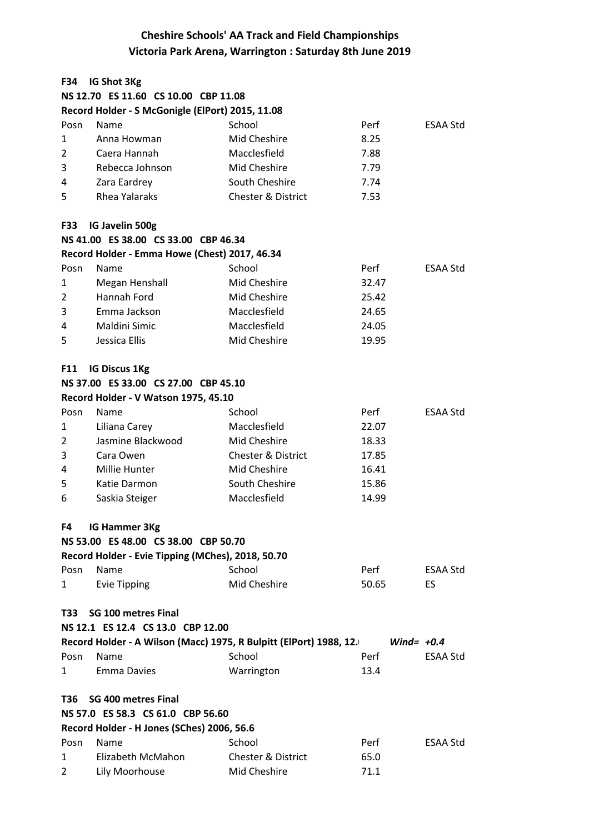#### F34 IG Shot 3Kg

|                                   | NS 12.70 ES 11.60 CS 10.00 CBP 11.08                               |                               |              |          |  |  |
|-----------------------------------|--------------------------------------------------------------------|-------------------------------|--------------|----------|--|--|
|                                   | Record Holder - S McGonigle (ElPort) 2015, 11.08                   |                               |              |          |  |  |
| Posn                              | Name                                                               | School                        | Perf         | ESAA Std |  |  |
| 1                                 | Anna Howman                                                        | Mid Cheshire                  | 8.25         |          |  |  |
| 2                                 | Caera Hannah                                                       | Macclesfield                  | 7.88         |          |  |  |
| 3                                 | Rebecca Johnson                                                    | Mid Cheshire                  | 7.79         |          |  |  |
| 4                                 | Zara Eardrey                                                       | South Cheshire                | 7.74         |          |  |  |
| 5                                 | <b>Rhea Yalaraks</b>                                               | <b>Chester &amp; District</b> | 7.53         |          |  |  |
| <b>F33</b>                        | IG Javelin 500g                                                    |                               |              |          |  |  |
|                                   | NS 41.00 ES 38.00 CS 33.00 CBP 46.34                               |                               |              |          |  |  |
|                                   | Record Holder - Emma Howe (Chest) 2017, 46.34                      |                               |              |          |  |  |
| Posn                              | Name                                                               | School                        | Perf         | ESAA Std |  |  |
| 1                                 | Megan Henshall                                                     | Mid Cheshire                  | 32.47        |          |  |  |
| 2                                 | Hannah Ford                                                        | Mid Cheshire                  | 25.42        |          |  |  |
| 3                                 | Emma Jackson                                                       | Macclesfield                  | 24.65        |          |  |  |
| 4                                 | Maldini Simic                                                      | Macclesfield                  | 24.05        |          |  |  |
| 5                                 | Jessica Ellis                                                      | Mid Cheshire                  | 19.95        |          |  |  |
| <b>F11</b>                        | <b>IG Discus 1Kg</b>                                               |                               |              |          |  |  |
|                                   | NS 37.00 ES 33.00 CS 27.00 CBP 45.10                               |                               |              |          |  |  |
|                                   | Record Holder - V Watson 1975, 45.10                               |                               |              |          |  |  |
| Posn                              | Name                                                               | School                        | Perf         | ESAA Std |  |  |
| 1                                 | Liliana Carey                                                      | Macclesfield                  | 22.07        |          |  |  |
| $\overline{2}$                    | Jasmine Blackwood                                                  | Mid Cheshire                  | 18.33        |          |  |  |
| 3                                 | Cara Owen                                                          | <b>Chester &amp; District</b> | 17.85        |          |  |  |
| 4                                 | Millie Hunter                                                      | Mid Cheshire                  | 16.41        |          |  |  |
| 5                                 | Katie Darmon                                                       | South Cheshire                | 15.86        |          |  |  |
| 6                                 | Saskia Steiger                                                     | Macclesfield                  | 14.99        |          |  |  |
| F4                                | <b>IG Hammer 3Kg</b>                                               |                               |              |          |  |  |
|                                   | NS 53.00 ES 48.00 CS 38.00 CBP 50.70                               |                               |              |          |  |  |
|                                   | Record Holder - Evie Tipping (MChes), 2018, 50.70                  |                               |              |          |  |  |
| Posn                              | Name                                                               | School                        | Perf         | ESAA Std |  |  |
| 1                                 | <b>Evie Tipping</b>                                                | Mid Cheshire                  | 50.65        | ES       |  |  |
| <b>SG 100 metres Final</b><br>T33 |                                                                    |                               |              |          |  |  |
|                                   | NS 12.1 ES 12.4 CS 13.0 CBP 12.00                                  |                               |              |          |  |  |
|                                   | Record Holder - A Wilson (Macc) 1975, R Bulpitt (ElPort) 1988, 12. |                               | Wind= $+0.4$ |          |  |  |
| Posn                              | Name                                                               | School                        | Perf         | ESAA Std |  |  |
| 1                                 | <b>Emma Davies</b>                                                 | Warrington                    | 13.4         |          |  |  |
| T36                               | <b>SG 400 metres Final</b>                                         |                               |              |          |  |  |
|                                   | NS 57.0 ES 58.3 CS 61.0 CBP 56.60                                  |                               |              |          |  |  |
|                                   | Record Holder - H Jones (SChes) 2006, 56.6                         |                               |              |          |  |  |
| Posn                              | Name                                                               | School                        | Perf         | ESAA Std |  |  |
| $\mathbf{1}$                      | Elizabeth McMahon                                                  | <b>Chester &amp; District</b> | 65.0         |          |  |  |
| 2                                 | Lily Moorhouse                                                     | Mid Cheshire                  | 71.1         |          |  |  |